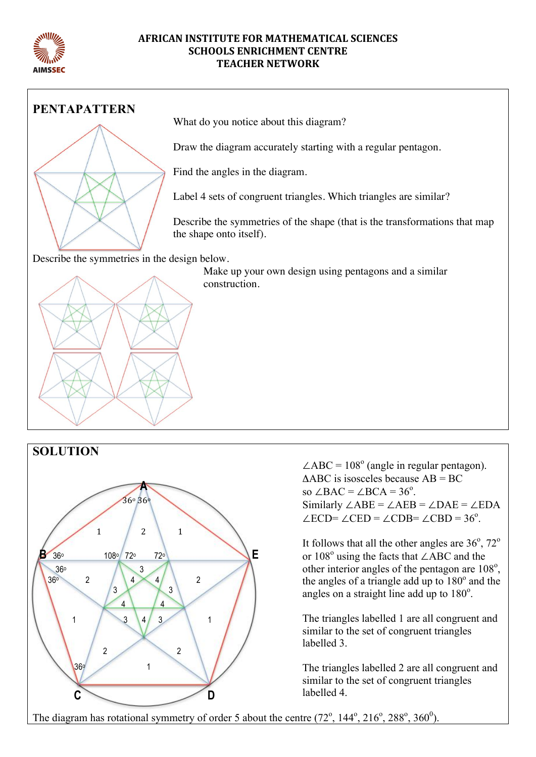

#### **AFRICAN INSTITUTE FOR MATHEMATICAL SCIENCES SCHOOLS ENRICHMENT CENTRE TEACHER NETWORK**



What do you notice about this diagram?

Draw the diagram accurately starting with a regular pentagon.

Find the angles in the diagram.

Label 4 sets of congruent triangles. Which triangles are similar?

Describe the symmetries of the shape (that is the transformations that map

Make up your own design using pentagons and a similar





 $\angle ABC = 108^\circ$  (angle in regular pentagon).  $\triangle$ ABC is isosceles because AB = BC so  $\angle BAC = \angle BCA = 36^\circ$ . Similarly  $\angle$ ABE =  $\angle$ AEB =  $\angle$ DAE =  $\angle$ EDA  $/$  ECD=  $/$  CED =  $/$  CDB=  $/$  CBD = 36<sup>°</sup>

It follows that all the other angles are  $36^\circ$ ,  $72^\circ$ or  $108^{\circ}$  using the facts that  $\angle$ ABC and the other interior angles of the pentagon are 108°, the angles of a triangle add up to 180° and the angles on a straight line add up to  $180^\circ$ .

The triangles labelled 1 are all congruent and similar to the set of congruent triangles labelled 3

The triangles labelled 2 are all congruent and similar to the set of congruent triangles labelled 4.

The diagram has rotational symmetry of order 5 about the centre  $(72^{\circ}, 144^{\circ}, 216^{\circ}, 288^{\circ}, 360^{\circ})$ .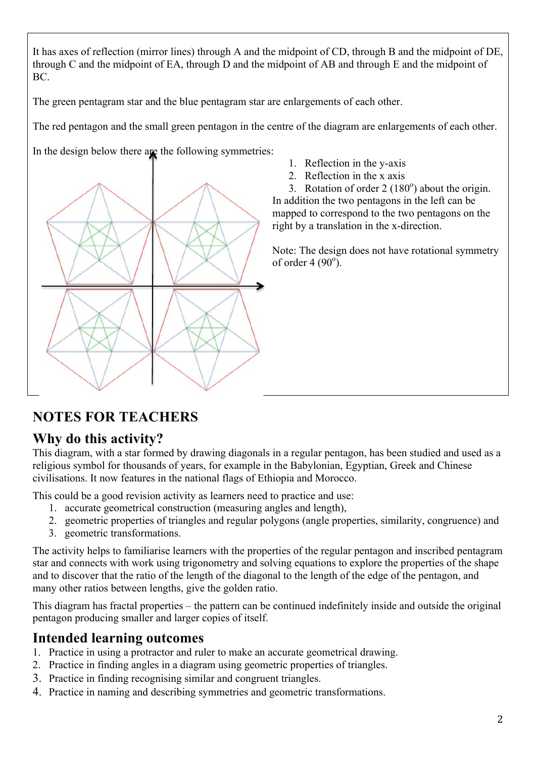It has axes of reflection (mirror lines) through A and the midpoint of CD, through B and the midpoint of DE, through C and the midpoint of EA, through D and the midpoint of AB and through E and the midpoint of BC.

The green pentagram star and the blue pentagram star are enlargements of each other.

The red pentagon and the small green pentagon in the centre of the diagram are enlargements of each other.

In the design below there are the following symmetries:



- 1. Reflection in the y-axis
- 2. Reflection in the x axis

3. Rotation of order  $2(180^\circ)$  about the origin. In addition the two pentagons in the left can be mapped to correspond to the two pentagons on the right by a translation in the x-direction.

Note: The design does not have rotational symmetry of order  $4(90^{\circ})$ .

# **NOTES FOR TEACHERS**

#### **Why do this activity?**

This diagram, with a star formed by drawing diagonals in a regular pentagon, has been studied and used as a religious symbol for thousands of years, for example in the Babylonian, Egyptian, Greek and Chinese civilisations. It now features in the national flags of Ethiopia and Morocco.

This could be a good revision activity as learners need to practice and use:

- 1. accurate geometrical construction (measuring angles and length),
- 2. geometric properties of triangles and regular polygons (angle properties, similarity, congruence) and
- 3. geometric transformations.

The activity helps to familiarise learners with the properties of the regular pentagon and inscribed pentagram star and connects with work using trigonometry and solving equations to explore the properties of the shape and to discover that the ratio of the length of the diagonal to the length of the edge of the pentagon, and many other ratios between lengths, give the golden ratio.

This diagram has fractal properties – the pattern can be continued indefinitely inside and outside the original pentagon producing smaller and larger copies of itself.

# **Intended learning outcomes**

- 1. Practice in using a protractor and ruler to make an accurate geometrical drawing.
- 2. Practice in finding angles in a diagram using geometric properties of triangles.
- 3. Practice in finding recognising similar and congruent triangles.
- 4. Practice in naming and describing symmetries and geometric transformations.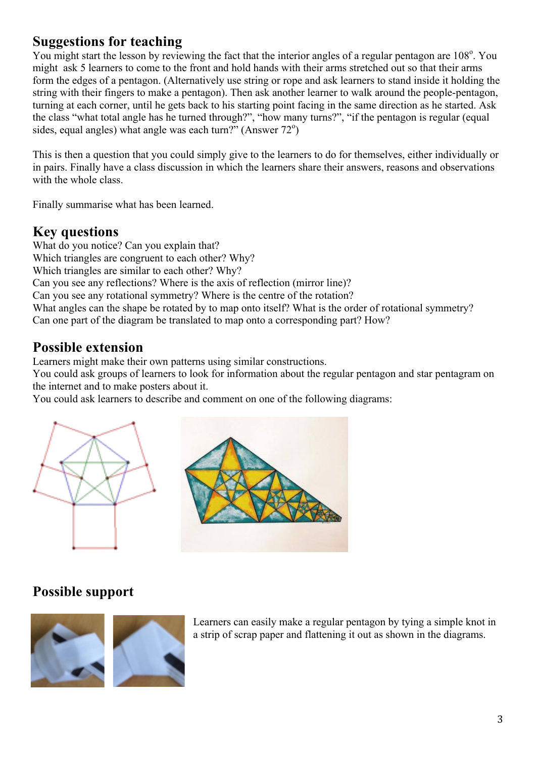### **Suggestions for teaching**

You might start the lesson by reviewing the fact that the interior angles of a regular pentagon are 108°. You might ask 5 learners to come to the front and hold hands with their arms stretched out so that their arms form the edges of a pentagon. (Alternatively use string or rope and ask learners to stand inside it holding the string with their fingers to make a pentagon). Then ask another learner to walk around the people-pentagon, turning at each corner, until he gets back to his starting point facing in the same direction as he started. Ask the class "what total angle has he turned through?", "how many turns?", "if the pentagon is regular (equal sides, equal angles) what angle was each turn?" (Answer  $72^{\circ}$ )

This is then a question that you could simply give to the learners to do for themselves, either individually or in pairs. Finally have a class discussion in which the learners share their answers, reasons and observations with the whole class.

Finally summarise what has been learned.

# **Key questions**

What do you notice? Can you explain that? Which triangles are congruent to each other? Why? Which triangles are similar to each other? Why? Can you see any reflections? Where is the axis of reflection (mirror line)? Can you see any rotational symmetry? Where is the centre of the rotation? What angles can the shape be rotated by to map onto itself? What is the order of rotational symmetry? Can one part of the diagram be translated to map onto a corresponding part? How?

### **Possible extension**

Learners might make their own patterns using similar constructions.

You could ask groups of learners to look for information about the regular pentagon and star pentagram on the internet and to make posters about it.

You could ask learners to describe and comment on one of the following diagrams:





#### **Possible support**



Learners can easily make a regular pentagon by tying a simple knot in a strip of scrap paper and flattening it out as shown in the diagrams.